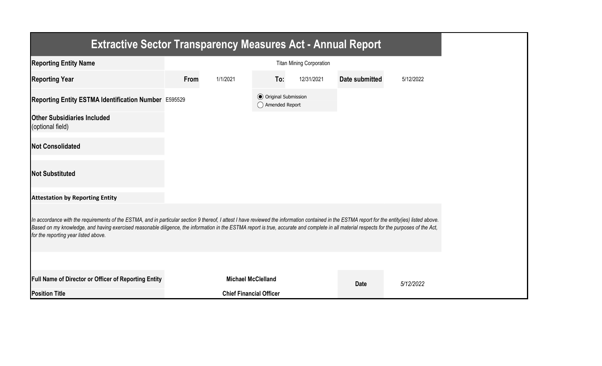| <b>Extractive Sector Transparency Measures Act - Annual Report</b>                                                                                                                                                                                                                                                                                                                                                                    |      |                                |                                                  |                                 |                       |           |
|---------------------------------------------------------------------------------------------------------------------------------------------------------------------------------------------------------------------------------------------------------------------------------------------------------------------------------------------------------------------------------------------------------------------------------------|------|--------------------------------|--------------------------------------------------|---------------------------------|-----------------------|-----------|
| <b>Reporting Entity Name</b>                                                                                                                                                                                                                                                                                                                                                                                                          |      |                                |                                                  | <b>Titan Mining Corporation</b> |                       |           |
| <b>Reporting Year</b>                                                                                                                                                                                                                                                                                                                                                                                                                 | From | 1/1/2021                       | To:                                              | 12/31/2021                      | <b>Date submitted</b> | 5/12/2022 |
| Reporting Entity ESTMA Identification Number E595529                                                                                                                                                                                                                                                                                                                                                                                  |      |                                | <b>◎</b> Original Submission<br>◯ Amended Report |                                 |                       |           |
| <b>Other Subsidiaries Included</b><br>(optional field)                                                                                                                                                                                                                                                                                                                                                                                |      |                                |                                                  |                                 |                       |           |
| <b>Not Consolidated</b>                                                                                                                                                                                                                                                                                                                                                                                                               |      |                                |                                                  |                                 |                       |           |
| <b>Not Substituted</b>                                                                                                                                                                                                                                                                                                                                                                                                                |      |                                |                                                  |                                 |                       |           |
| <b>Attestation by Reporting Entity</b>                                                                                                                                                                                                                                                                                                                                                                                                |      |                                |                                                  |                                 |                       |           |
| In accordance with the requirements of the ESTMA, and in particular section 9 thereof, I attest I have reviewed the information contained in the ESTMA report for the entity(ies) listed above.<br>Based on my knowledge, and having exercised reasonable diligence, the information in the ESTMA report is true, accurate and complete in all material respects for the purposes of the Act,<br>for the reporting year listed above. |      |                                |                                                  |                                 |                       |           |
|                                                                                                                                                                                                                                                                                                                                                                                                                                       |      |                                |                                                  |                                 |                       |           |
| <b>Full Name of Director or Officer of Reporting Entity</b>                                                                                                                                                                                                                                                                                                                                                                           |      | <b>Michael McClelland</b>      |                                                  |                                 | <b>Date</b>           | 5/12/2022 |
| <b>Position Title</b>                                                                                                                                                                                                                                                                                                                                                                                                                 |      | <b>Chief Financial Officer</b> |                                                  |                                 |                       |           |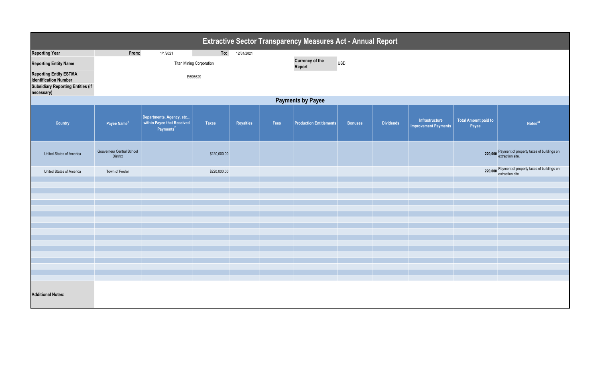| <b>Extractive Sector Transparency Measures Act - Annual Report</b>                                                      |                                              |                                                                                 |                                 |            |      |                                  |                |                  |                                               |                                      |                                                                       |  |
|-------------------------------------------------------------------------------------------------------------------------|----------------------------------------------|---------------------------------------------------------------------------------|---------------------------------|------------|------|----------------------------------|----------------|------------------|-----------------------------------------------|--------------------------------------|-----------------------------------------------------------------------|--|
| <b>Reporting Year</b>                                                                                                   | From:                                        | 1/1/2021                                                                        | To:                             | 12/31/2021 |      |                                  |                |                  |                                               |                                      |                                                                       |  |
| <b>Reporting Entity Name</b>                                                                                            |                                              |                                                                                 | <b>Titan Mining Corporation</b> |            |      | <b>Currency of the</b><br>Report | <b>USD</b>     |                  |                                               |                                      |                                                                       |  |
| <b>Reporting Entity ESTMA</b><br><b>Identification Number</b><br><b>Subsidiary Reporting Entities (if</b><br>necessary) |                                              |                                                                                 |                                 |            |      |                                  |                |                  |                                               |                                      |                                                                       |  |
| <b>Payments by Payee</b>                                                                                                |                                              |                                                                                 |                                 |            |      |                                  |                |                  |                                               |                                      |                                                                       |  |
| Country                                                                                                                 | Payee Name <sup>1</sup>                      | Departments, Agency, etc<br>within Payee that Received<br>Payments <sup>2</sup> | <b>Taxes</b>                    | Royalties  | Fees | <b>Production Entitlements</b>   | <b>Bonuses</b> | <b>Dividends</b> | Infrastructure<br><b>Improvement Payments</b> | <b>Total Amount paid to</b><br>Payee | Notes <sup>34</sup>                                                   |  |
| United States of America                                                                                                | Gouverneur Central School<br><b>District</b> |                                                                                 | \$220,000.00                    |            |      |                                  |                |                  |                                               |                                      | 220,000 Payment of property taxes of buildings on<br>extraction site. |  |
| United States of America                                                                                                | Town of Fowler                               |                                                                                 | \$220,000.00                    |            |      |                                  |                |                  |                                               |                                      | 220,000 Payment of property taxes of buildings on<br>extraction site. |  |
|                                                                                                                         |                                              |                                                                                 |                                 |            |      |                                  |                |                  |                                               |                                      |                                                                       |  |
|                                                                                                                         |                                              |                                                                                 |                                 |            |      |                                  |                |                  |                                               |                                      |                                                                       |  |
|                                                                                                                         |                                              |                                                                                 |                                 |            |      |                                  |                |                  |                                               |                                      |                                                                       |  |
|                                                                                                                         |                                              |                                                                                 |                                 |            |      |                                  |                |                  |                                               |                                      |                                                                       |  |
|                                                                                                                         |                                              |                                                                                 |                                 |            |      |                                  |                |                  |                                               |                                      |                                                                       |  |
|                                                                                                                         |                                              |                                                                                 |                                 |            |      |                                  |                |                  |                                               |                                      |                                                                       |  |
|                                                                                                                         |                                              |                                                                                 |                                 |            |      |                                  |                |                  |                                               |                                      |                                                                       |  |
|                                                                                                                         |                                              |                                                                                 |                                 |            |      |                                  |                |                  |                                               |                                      |                                                                       |  |
|                                                                                                                         |                                              |                                                                                 |                                 |            |      |                                  |                |                  |                                               |                                      |                                                                       |  |
|                                                                                                                         |                                              |                                                                                 |                                 |            |      |                                  |                |                  |                                               |                                      |                                                                       |  |
|                                                                                                                         |                                              |                                                                                 |                                 |            |      |                                  |                |                  |                                               |                                      |                                                                       |  |
| <b>Additional Notes:</b>                                                                                                |                                              |                                                                                 |                                 |            |      |                                  |                |                  |                                               |                                      |                                                                       |  |